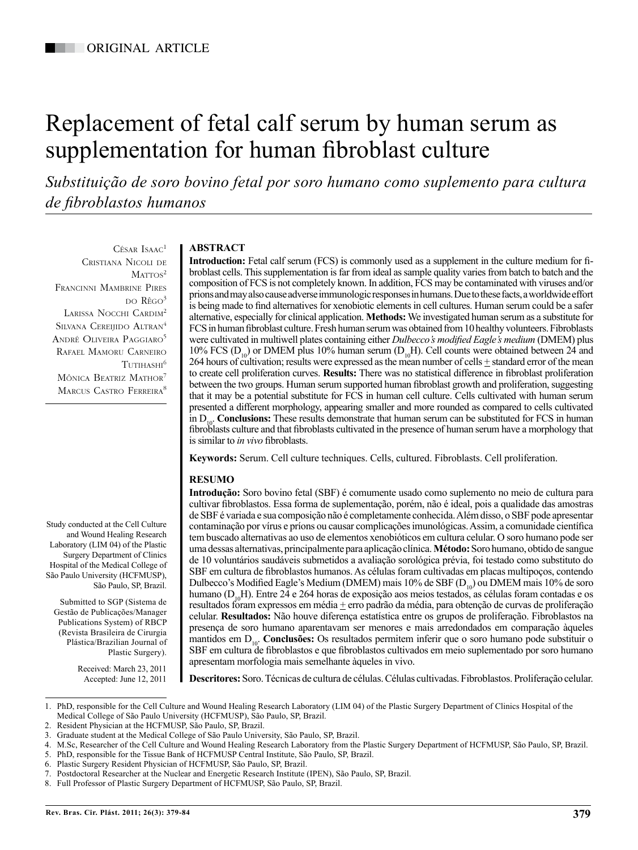# Replacement of fetal calf serum by human serum as supplementation for human fibroblast culture

*Substituição de soro bovino fetal por soro humano como suplemento para cultura de fibroblastos humanos*

César Isaac<sup>1</sup> Cristiana Nicoli de  $MATTOS<sup>2</sup>$ Francinni Mambrine Pires do Rêgo<sup>3</sup> Larissa Nocchi Cardim2 SILVANA CEREIIIDO ALTRAN<sup>4</sup> ANDRÉ OLIVEIRA PAGGIARO<sup>5</sup> Rafael Mamoru Carneiro  $\mathrm{T}$ utihashi $^6$ Mônica Beatriz Mathor<sup>7</sup> MARCUS CASTRO FERREIRA<sup>8</sup>

Study conducted at the Cell Culture and Wound Healing Research Laboratory (LIM 04) of the Plastic Surgery Department of Clinics Hospital of the Medical College of São Paulo University (HCFMUSP),

São Paulo, SP, Brazil.

Plastic Surgery).

Received: March 23, 2011 Accepted: June 12, 2011

Submitted to SGP (Sistema de Gestão de Publicações/Manager Publications System) of RBCP (Revista Brasileira de Cirurgia Plástica/Brazilian Journal of

# **ABSTRACT**

**Introduction:** Fetal calf serum (FCS) is commonly used as a supplement in the culture medium for fibroblast cells. This supplementation is far from ideal as sample quality varies from batch to batch and the composition of FCS is not completely known. In addition, FCS may be contaminated with viruses and/or prions and may also cause adverse immunologic responses in humans. Due to these facts, a worldwide effort is being made to find alternatives for xenobiotic elements in cell cultures. Human serum could be a safer alternative, especially for clinical application. **Methods:** We investigated human serum as a substitute for FCS in human fibroblast culture. Fresh human serum was obtained from 10 healthy volunteers. Fibroblasts were cultivated in multiwell plates containing either *Dulbecco's modified Eagle's medium* (DMEM) plus 10% FCS  $(D_{10})$  or DMEM plus 10% human serum  $(D_{10}H)$ . Cell counts were obtained between 24 and 264 hours of cultivation; results were expressed as the mean number of cells  $\pm$  standard error of the mean to create cell proliferation curves. **Results:** There was no statistical difference in fibroblast proliferation between the two groups. Human serum supported human fibroblast growth and proliferation, suggesting that it may be a potential substitute for FCS in human cell culture. Cells cultivated with human serum presented a different morphology, appearing smaller and more rounded as compared to cells cultivated in D<sub>10</sub>. **Conclusions:** These results demonstrate that human serum can be substituted for FCS in human fibroblasts culture and that fibroblasts cultivated in the presence of human serum have a morphology that is similar to *in vivo* fibroblasts.

**Keywords:** Serum. Cell culture techniques. Cells, cultured. Fibroblasts. Cell proliferation.

# **RESUMO**

**Introdução:** Soro bovino fetal (SBF) é comumente usado como suplemento no meio de cultura para cultivar fibroblastos. Essa forma de suplementação, porém, não é ideal, pois a qualidade das amostras de SBF é variada e sua composição não é completamente conhecida. Além disso, o SBF pode apresentar contaminação por vírus e príons ou causar complicações imunológicas. Assim, a comunidade científica tem buscado alternativas ao uso de elementos xenobióticos em cultura celular. O soro humano pode ser uma dessas alternativas, principalmente para aplicação clínica. **Método:** Soro humano, obtido de sangue de 10 voluntários saudáveis submetidos a avaliação sorológica prévia, foi testado como substituto do SBF em cultura de fibroblastos humanos. As células foram cultivadas em placas multipoços, contendo Dulbecco's Modified Eagle's Medium (DMEM) mais 10% de SBF ( $D_{10}$ ) ou DMEM mais 10% de soro humano  $(D_{10}H)$ . Entre 24 e 264 horas de exposição aos meios testados, as células foram contadas e os resultados foram expressos em média  $\pm$  erro padrão da média, para obtenção de curvas de proliferação celular. **Resultados:** Não houve diferença estatística entre os grupos de proliferação. Fibroblastos na presença de soro humano aparentavam ser menores e mais arredondados em comparação àqueles mantidos em D<sub>10</sub>. **Conclusões:** Os resultados permitem inferir que o soro humano pode substituir o SBF em cultura de fibroblastos e que fibroblastos cultivados em meio suplementado por soro humano apresentam morfologia mais semelhante àqueles in vivo.

**Descritores:** Soro. Técnicas de cultura de células. Células cultivadas. Fibroblastos. Proliferação celular.

<sup>1.</sup> PhD, responsible for the Cell Culture and Wound Healing Research Laboratory (LIM 04) of the Plastic Surgery Department of Clinics Hospital of the Medical College of São Paulo University (HCFMUSP), São Paulo, SP, Brazil.

<sup>2.</sup> Resident Physician at the HCFMUSP, São Paulo, SP, Brazil.

<sup>3.</sup> Graduate student at the Medical College of São Paulo University, São Paulo, SP, Brazil.

<sup>4.</sup> M.Sc, Researcher of the Cell Culture and Wound Healing Research Laboratory from the Plastic Surgery Department of HCFMUSP, São Paulo, SP, Brazil.<br>5. PhD, responsible for the Tissue Bank of HCFMUSP Central Institute, São 5. PhD, responsible for the Tissue Bank of HCFMUSP Central Institute, São Paulo, SP, Brazil.

<sup>6.</sup> Plastic Surgery Resident Physician of HCFMUSP, São Paulo, SP, Brazil.

<sup>7.</sup> Postdoctoral Researcher at the Nuclear and Energetic Research Institute (IPEN), São Paulo, SP, Brazil.

<sup>8.</sup> Full Professor of Plastic Surgery Department of HCFMUSP, São Paulo, SP, Brazil.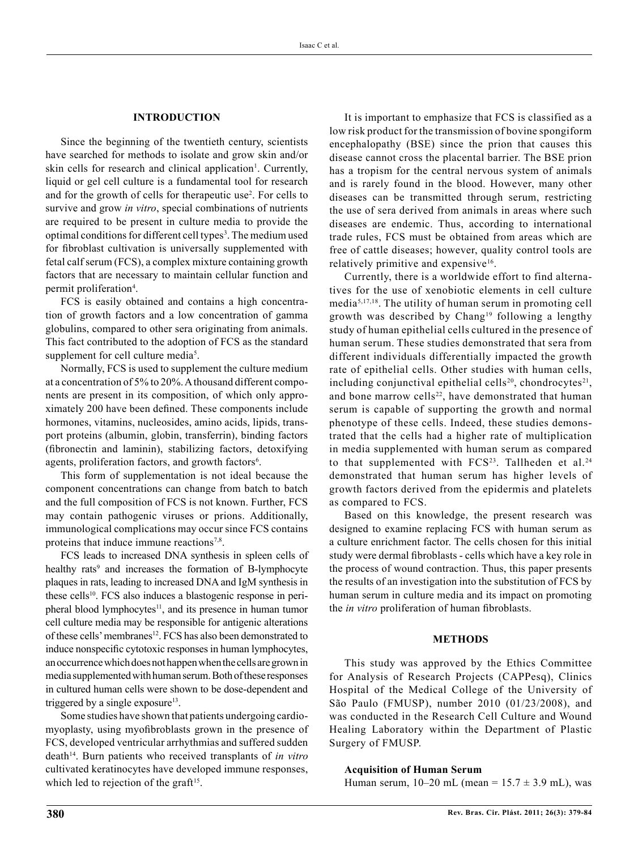# **INTRODUCTION**

Since the beginning of the twentieth century, scientists have searched for methods to isolate and grow skin and/or skin cells for research and clinical application<sup>1</sup>. Currently, liquid or gel cell culture is a fundamental tool for research and for the growth of cells for therapeutic use<sup>2</sup>. For cells to survive and grow *in vitro*, special combinations of nutrients are required to be present in culture media to provide the optimal conditions for different cell types<sup>3</sup>. The medium used for fibroblast cultivation is universally supplemented with fetal calf serum (FCS), a complex mixture containing growth factors that are necessary to maintain cellular function and permit proliferation<sup>4</sup>.

FCS is easily obtained and contains a high concentration of growth factors and a low concentration of gamma globulins, compared to other sera originating from animals. This fact contributed to the adoption of FCS as the standard supplement for cell culture media<sup>5</sup>.

Normally, FCS is used to supplement the culture medium at a concentration of 5% to 20%. A thousand different components are present in its composition, of which only approximately 200 have been defined. These components include hormones, vitamins, nucleosides, amino acids, lipids, transport proteins (albumin, globin, transferrin), binding factors (fibronectin and laminin), stabilizing factors, detoxifying agents, proliferation factors, and growth factors<sup>6</sup>.

This form of supplementation is not ideal because the component concentrations can change from batch to batch and the full composition of FCS is not known. Further, FCS may contain pathogenic viruses or prions. Additionally, immunological complications may occur since FCS contains proteins that induce immune reactions<sup>7,8</sup>.

FCS leads to increased DNA synthesis in spleen cells of healthy rats<sup>9</sup> and increases the formation of B-lymphocyte plaques in rats, leading to increased DNA and IgM synthesis in these cells<sup>10</sup>. FCS also induces a blastogenic response in peripheral blood lymphocytes<sup>11</sup>, and its presence in human tumor cell culture media may be responsible for antigenic alterations of these cells' membranes<sup>12</sup>. FCS has also been demonstrated to induce nonspecific cytotoxic responses in human lymphocytes, an occurrence which does not happen when the cells are grown in media supplemented with human serum. Both of these responses in cultured human cells were shown to be dose-dependent and triggered by a single exposure<sup>13</sup>.

Some studies have shown that patients undergoing cardiomyoplasty, using myofibroblasts grown in the presence of FCS, developed ventricular arrhythmias and suffered sudden death14. Burn patients who received transplants of *in vitro* cultivated keratinocytes have developed immune responses, which led to rejection of the graft<sup>15</sup>.

It is important to emphasize that FCS is classified as a low risk product for the transmission of bovine spongiform encephalopathy (BSE) since the prion that causes this disease cannot cross the placental barrier. The BSE prion has a tropism for the central nervous system of animals and is rarely found in the blood. However, many other diseases can be transmitted through serum, restricting the use of sera derived from animals in areas where such diseases are endemic. Thus, according to international trade rules, FCS must be obtained from areas which are free of cattle diseases; however, quality control tools are relatively primitive and expensive<sup>16</sup>.

Currently, there is a worldwide effort to find alternatives for the use of xenobiotic elements in cell culture media5,17,18. The utility of human serum in promoting cell growth was described by Chang<sup>19</sup> following a lengthy study of human epithelial cells cultured in the presence of human serum. These studies demonstrated that sera from different individuals differentially impacted the growth rate of epithelial cells. Other studies with human cells, including conjunctival epithelial cells<sup>20</sup>, chondrocytes<sup>21</sup>, and bone marrow cells<sup>22</sup>, have demonstrated that human serum is capable of supporting the growth and normal phenotype of these cells. Indeed, these studies demonstrated that the cells had a higher rate of multiplication in media supplemented with human serum as compared to that supplemented with  $FCS<sup>23</sup>$ . Tallheden et al.<sup>24</sup> demonstrated that human serum has higher levels of growth factors derived from the epidermis and platelets as compared to FCS.

Based on this knowledge, the present research was designed to examine replacing FCS with human serum as a culture enrichment factor. The cells chosen for this initial study were dermal fibroblasts - cells which have a key role in the process of wound contraction. Thus, this paper presents the results of an investigation into the substitution of FCS by human serum in culture media and its impact on promoting the *in vitro* proliferation of human fibroblasts.

#### **METHODS**

This study was approved by the Ethics Committee for Analysis of Research Projects (CAPPesq), Clinics Hospital of the Medical College of the University of São Paulo (FMUSP), number 2010 (01/23/2008), and was conducted in the Research Cell Culture and Wound Healing Laboratory within the Department of Plastic Surgery of FMUSP.

#### **Acquisition of Human Serum**

Human serum, 10–20 mL (mean =  $15.7 \pm 3.9$  mL), was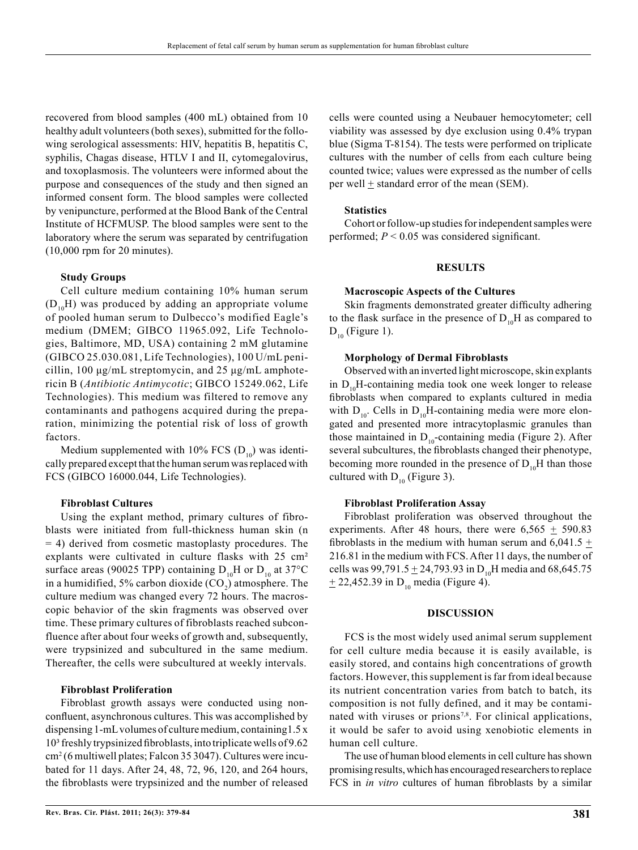recovered from blood samples (400 mL) obtained from 10 healthy adult volunteers (both sexes), submitted for the following serological assessments: HIV, hepatitis B, hepatitis C, syphilis, Chagas disease, HTLV I and II, cytomegalovirus, and toxoplasmosis. The volunteers were informed about the purpose and consequences of the study and then signed an informed consent form. The blood samples were collected by venipuncture, performed at the Blood Bank of the Central Institute of HCFMUSP. The blood samples were sent to the laboratory where the serum was separated by centrifugation (10,000 rpm for 20 minutes).

# **Study Groups**

Cell culture medium containing 10% human serum  $(D_{10}H)$  was produced by adding an appropriate volume of pooled human serum to Dulbecco's modified Eagle's medium (DMEM; GIBCO 11965.092, Life Technologies, Baltimore, MD, USA) containing 2 mM glutamine (GIBCO 25.030.081, Life Technologies), 100 U/mL penicillin, 100 μg/mL streptomycin, and 25 μg/mL amphotericin B (*Antibiotic Antimycotic*; GIBCO 15249.062, Life Technologies). This medium was filtered to remove any contaminants and pathogens acquired during the preparation, minimizing the potential risk of loss of growth factors.

Medium supplemented with 10% FCS  $(D_{10})$  was identically prepared except that the human serum was replaced with FCS (GIBCO 16000.044, Life Technologies).

#### **Fibroblast Cultures**

Using the explant method, primary cultures of fibroblasts were initiated from full-thickness human skin (n = 4) derived from cosmetic mastoplasty procedures. The explants were cultivated in culture flasks with 25 cm² surface areas (90025 TPP) containing  $D_{10}H$  or  $D_{10}$  at 37°C in a humidified, 5% carbon dioxide  $(CO_2)$  atmosphere. The culture medium was changed every 72 hours. The macroscopic behavior of the skin fragments was observed over time. These primary cultures of fibroblasts reached subconfluence after about four weeks of growth and, subsequently, were trypsinized and subcultured in the same medium. Thereafter, the cells were subcultured at weekly intervals.

#### **Fibroblast Proliferation**

Fibroblast growth assays were conducted using nonconfluent, asynchronous cultures. This was accomplished by dispensing 1-mL volumes of culture medium, containing1.5 x 10³ freshly trypsinized fibroblasts, into triplicate wells of 9.62 cm2 (6 multiwell plates; Falcon 35 3047). Cultures were incubated for 11 days. After 24, 48, 72, 96, 120, and 264 hours, the fibroblasts were trypsinized and the number of released cells were counted using a Neubauer hemocytometer; cell viability was assessed by dye exclusion using 0.4% trypan blue (Sigma T-8154). The tests were performed on triplicate cultures with the number of cells from each culture being counted twice; values were expressed as the number of cells per well  $\pm$  standard error of the mean (SEM).

#### **Statistics**

Cohort or follow-up studies for independent samples were performed; *P* < 0.05 was considered significant.

#### **RESULTS**

#### **Macroscopic Aspects of the Cultures**

Skin fragments demonstrated greater difficulty adhering to the flask surface in the presence of  $D_{10}H$  as compared to  $D_{10}$  (Figure 1).

#### **Morphology of Dermal Fibroblasts**

Observed with an inverted light microscope, skin explants in  $D_{10}$ H-containing media took one week longer to release fibroblasts when compared to explants cultured in media with  $D_{10}$ . Cells in  $D_{10}$ H-containing media were more elongated and presented more intracytoplasmic granules than those maintained in  $D_{10}$ -containing media (Figure 2). After several subcultures, the fibroblasts changed their phenotype, becoming more rounded in the presence of  $D_{10}H$  than those cultured with  $D_{10}$  (Figure 3).

#### **Fibroblast Proliferation Assay**

Fibroblast proliferation was observed throughout the experiments. After 48 hours, there were  $6,565 \pm 590.83$ fibroblasts in the medium with human serum and  $6,041.5 \pm$ 216.81 in the medium with FCS. After 11 days, the number of cells was 99,791.5  $\pm$  24,793.93 in D<sub>10</sub>H media and 68,645.75  $\pm$  22,452.39 in D<sub>10</sub> media (Figure 4).

#### **DISCUSSION**

FCS is the most widely used animal serum supplement for cell culture media because it is easily available, is easily stored, and contains high concentrations of growth factors. However, this supplement is far from ideal because its nutrient concentration varies from batch to batch, its composition is not fully defined, and it may be contaminated with viruses or prions<sup>7,8</sup>. For clinical applications, it would be safer to avoid using xenobiotic elements in human cell culture.

The use of human blood elements in cell culture has shown promising results, which has encouraged researchers to replace FCS in *in vitro* cultures of human fibroblasts by a similar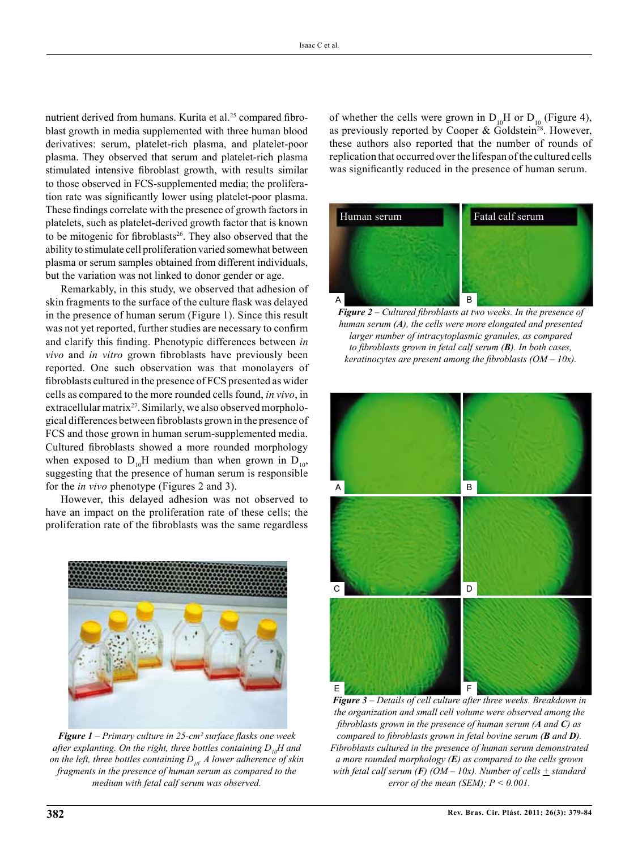nutrient derived from humans. Kurita et al.<sup>25</sup> compared fibroblast growth in media supplemented with three human blood derivatives: serum, platelet-rich plasma, and platelet-poor plasma. They observed that serum and platelet-rich plasma stimulated intensive fibroblast growth, with results similar to those observed in FCS-supplemented media; the proliferation rate was significantly lower using platelet-poor plasma. These findings correlate with the presence of growth factors in platelets, such as platelet-derived growth factor that is known to be mitogenic for fibroblasts<sup>26</sup>. They also observed that the ability to stimulate cell proliferation varied somewhat between plasma or serum samples obtained from different individuals, but the variation was not linked to donor gender or age.

Remarkably, in this study, we observed that adhesion of skin fragments to the surface of the culture flask was delayed in the presence of human serum (Figure 1). Since this result was not yet reported, further studies are necessary to confirm and clarify this finding. Phenotypic differences between *in vivo* and *in vitro* grown fibroblasts have previously been reported. One such observation was that monolayers of fibroblasts cultured in the presence of FCS presented as wider cells as compared to the more rounded cells found, *in vivo*, in extracellular matrix<sup>27</sup>. Similarly, we also observed morphological differences between fibroblasts grown in the presence of FCS and those grown in human serum-supplemented media. Cultured fibroblasts showed a more rounded morphology when exposed to  $D_{10}H$  medium than when grown in  $D_{10}$ , suggesting that the presence of human serum is responsible for the *in vivo* phenotype (Figures 2 and 3).

However, this delayed adhesion was not observed to have an impact on the proliferation rate of these cells; the proliferation rate of the fibroblasts was the same regardless



*Figure 1 – Primary culture in 25-cm² surface flasks one week after explanting. On the right, three bottles containing D10H and on the left, three bottles containing D10. A lower adherence of skin fragments in the presence of human serum as compared to the medium with fetal calf serum was observed.*

of whether the cells were grown in  $D_{10}H$  or  $D_{10}$  (Figure 4), as previously reported by Cooper & Goldstein<sup>28</sup>. However, these authors also reported that the number of rounds of replication that occurred over the lifespan of the cultured cells was significantly reduced in the presence of human serum.



*Figure 2 – Cultured fibroblasts at two weeks. In the presence of human serum (A), the cells were more elongated and presented larger number of intracytoplasmic granules, as compared to fibroblasts grown in fetal calf serum (B). In both cases, keratinocytes are present among the fibroblasts (OM – 10x).*



*Figure 3 – Details of cell culture after three weeks. Breakdown in the organization and small cell volume were observed among the fibroblasts grown in the presence of human serum (A and C) as compared to fibroblasts grown in fetal bovine serum (B and D). Fibroblasts cultured in the presence of human serum demonstrated a more rounded morphology (E) as compared to the cells grown with fetal calf serum (F) (OM – 10x). Number of cells*  $\pm$  *standard error of the mean (SEM); P < 0.001.*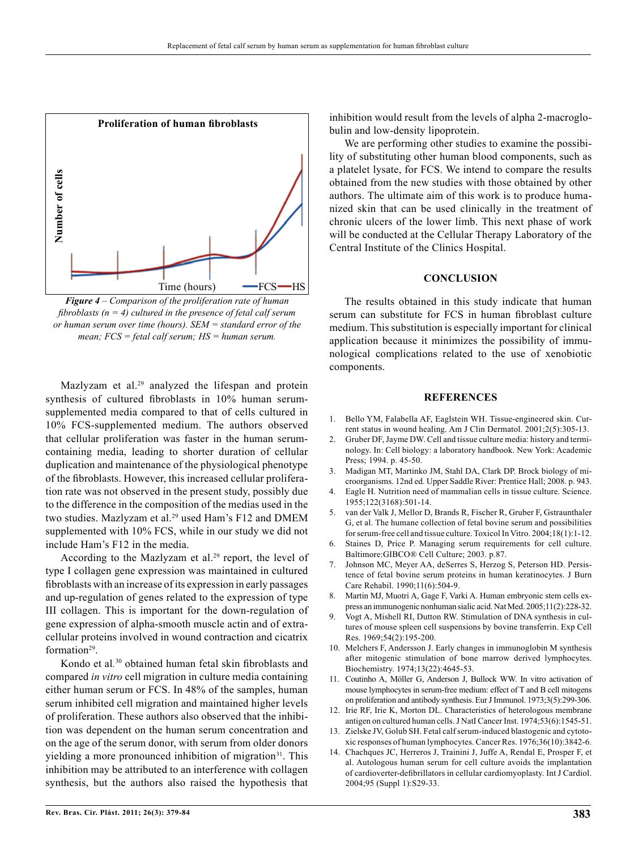

*Figure 4 – Comparison of the proliferation rate of human fibroblasts (n = 4) cultured in the presence of fetal calf serum or human serum over time (hours). SEM = standard error of the mean; FCS = fetal calf serum; HS = human serum.* 

Mazlyzam et al.<sup>29</sup> analyzed the lifespan and protein synthesis of cultured fibroblasts in 10% human serumsupplemented media compared to that of cells cultured in 10% FCS-supplemented medium. The authors observed that cellular proliferation was faster in the human serumcontaining media, leading to shorter duration of cellular duplication and maintenance of the physiological phenotype of the fibroblasts. However, this increased cellular proliferation rate was not observed in the present study, possibly due to the difference in the composition of the medias used in the two studies. Mazlyzam et al.<sup>29</sup> used Ham's F12 and DMEM supplemented with 10% FCS, while in our study we did not include Ham's F12 in the media.

According to the Mazlyzam et al.<sup>29</sup> report, the level of type I collagen gene expression was maintained in cultured fibroblasts with an increase of its expression in early passages and up-regulation of genes related to the expression of type III collagen. This is important for the down-regulation of gene expression of alpha-smooth muscle actin and of extracellular proteins involved in wound contraction and cicatrix formation<sup>29</sup>.

Kondo et al*.* <sup>30</sup> obtained human fetal skin fibroblasts and compared *in vitro* cell migration in culture media containing either human serum or FCS. In 48% of the samples, human serum inhibited cell migration and maintained higher levels of proliferation. These authors also observed that the inhibition was dependent on the human serum concentration and on the age of the serum donor, with serum from older donors yielding a more pronounced inhibition of migration $31$ . This inhibition may be attributed to an interference with collagen synthesis, but the authors also raised the hypothesis that

inhibition would result from the levels of alpha 2-macroglobulin and low-density lipoprotein.

We are performing other studies to examine the possibility of substituting other human blood components, such as a platelet lysate, for FCS. We intend to compare the results obtained from the new studies with those obtained by other authors. The ultimate aim of this work is to produce humanized skin that can be used clinically in the treatment of chronic ulcers of the lower limb. This next phase of work will be conducted at the Cellular Therapy Laboratory of the Central Institute of the Clinics Hospital.

# **CONCLUSION**

The results obtained in this study indicate that human serum can substitute for FCS in human fibroblast culture medium. This substitution is especially important for clinical application because it minimizes the possibility of immunological complications related to the use of xenobiotic components.

#### **REFERENCES**

- 1. Bello YM, Falabella AF, Eaglstein WH. Tissue-engineered skin. Current status in wound healing. Am J Clin Dermatol. 2001;2(5):305-13.
- 2. Gruber DF, Jayme DW. Cell and tissue culture media: history and terminology. In: Cell biology: a laboratory handbook. New York: Academic Press; 1994. p. 45-50.
- 3. Madigan MT, Martinko JM, Stahl DA, Clark DP. Brock biology of microorganisms. 12nd ed. Upper Saddle River: Prentice Hall; 2008. p. 943.
- 4. Eagle H. Nutrition need of mammalian cells in tissue culture. Science. 1955;122(3168):501-14.
- 5. van der Valk J, Mellor D, Brands R, Fischer R, Gruber F, Gstraunthaler G, et al. The humane collection of fetal bovine serum and possibilities for serum-free cell and tissue culture. Toxicol In Vitro. 2004;18(1):1-12.
- 6. Staines D, Price P. Managing serum requirements for cell culture. Baltimore:GIBCO® Cell Culture; 2003. p.87.
- 7. Johnson MC, Meyer AA, deSerres S, Herzog S, Peterson HD. Persistence of fetal bovine serum proteins in human keratinocytes. J Burn Care Rehabil. 1990;11(6):504-9.
- 8. Martin MJ, Muotri A, Gage F, Varki A. Human embryonic stem cells express an immunogenic nonhuman sialic acid. Nat Med. 2005;11(2):228-32.
- Vogt A, Mishell RI, Dutton RW. Stimulation of DNA synthesis in cultures of mouse spleen cell suspensions by bovine transferrin. Exp Cell Res. 1969;54(2):195-200.
- 10. Melchers F, Andersson J. Early changes in immunoglobin M synthesis after mitogenic stimulation of bone marrow derived lymphocytes. Biochemistry. 1974;13(22):4645-53.
- 11. Coutinho A, Möller G, Anderson J, Bullock WW. In vitro activation of mouse lymphocytes in serum-free medium: effect of T and B cell mitogens on proliferation and antibody synthesis. Eur J Immunol. 1973;3(5):299-306.
- 12. Irie RF, Irie K, Morton DL. Characteristics of heterologous membrane antigen on cultured human cells. J NatI Cancer Inst. 1974;53(6):1545-51.
- 13. Zielske JV, Golub SH. Fetal calf serum-induced blastogenic and cytotoxic responses of human lymphocytes. Cancer Res. 1976;36(10):3842-6.
- 14. Chachques JC, Herreros J, Trainini J, Juffe A, Rendal E, Prosper F, et al. Autologous human serum for cell culture avoids the implantation of cardioverter-defibrillators in cellular cardiomyoplasty. Int J Cardiol. 2004;95 (Suppl 1):S29-33.